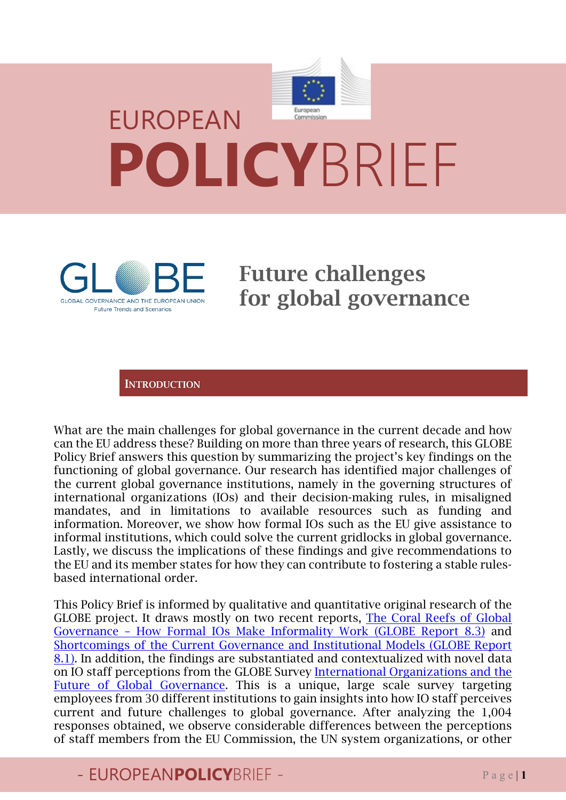# European EUROPEAN **POLICY**BRIEF



Future challenges for global governance

**INTRODUCTION** 

What are the main challenges for global governance in the current decade and how can the EU address these? Building on more than three years of research, this GLOBE Policy Brief answers this question by summarizing the project's key findings on the functioning of global governance. Our research has identified major challenges of the current global governance institutions, namely in the governing structures of international organizations (IOs) and their decision-making rules, in misaligned mandates, and in limitations to available resources such as funding and information. Moreover, we show how formal IOs such as the EU give assistance to informal institutions, which could solve the current gridlocks in global governance. Lastly, we discuss the implications of these findings and give recommendations to the EU and its member states for how they can contribute to fostering a stable rulesbased international order.

This Policy Brief is informed by qualitative and quantitative original research of the GLOBE project. It draws mostly on two recent reports, [The Coral Reefs of Global](https://www.globe-project.eu/the-coral-reefs-of-global-governance-how-formal-ios-make-informality-work_14401.pdf)  [Governance – How Formal IOs Make Informality Work](https://www.globe-project.eu/the-coral-reefs-of-global-governance-how-formal-ios-make-informality-work_14401.pdf) (GLOBE Report 8.3) and [Shortcomings of the Current Governance and Institutional Models](https://www.globe-project.eu/shortcomings-of-the-current-governance-and-institutional-models_11384.pdf) (GLOBE Report 8.1). In addition, the findings are substantiated and contextualized with novel data on IO staff perceptions from the GLOBE Survey [International Organizations and the](https://globe-survey.eu/)  [Future of Global Governance.](https://globe-survey.eu/) This is a unique, large scale survey targeting employees from 30 different institutions to gain insights into how IO staff perceives current and future challenges to global governance. After analyzing the 1,004 responses obtained, we observe considerable differences between the perceptions of staff members from the EU Commission, the UN system organizations, or other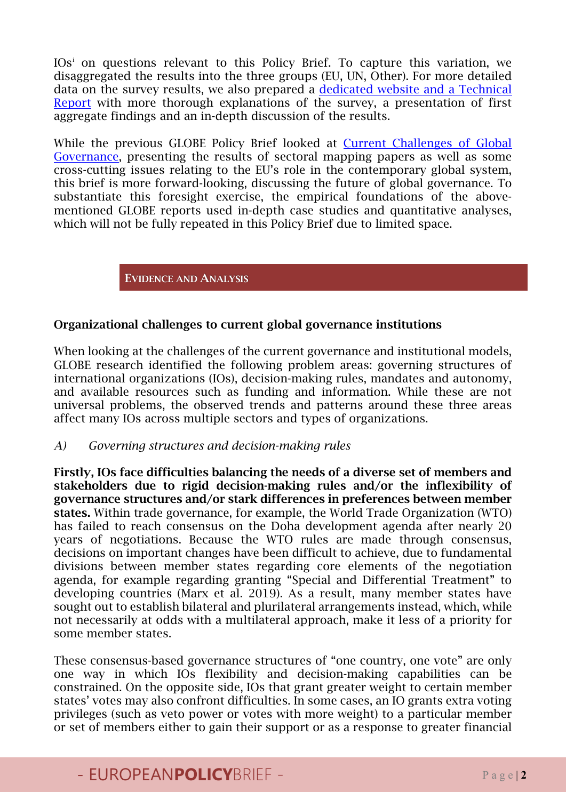IOs[i](#page-13-0) on questions relevant to this Policy Brief. To capture this variation, we disaggregated the results into the three groups (EU, UN, Other). For more detailed data on the survey results, we also prepared a [dedicated website and a Technical](https://globe-survey.eu/)  [Report](https://globe-survey.eu/) with more thorough explanations of the survey, a presentation of first aggregate findings and an in-depth discussion of the results.

While the previous GLOBE Policy Brief looked at [Current Challenges of Global](https://www.globe-project.eu/policy-brief-2-current-challenges-of-global-governance-february-2021_11999.pdf)  [Governance,](https://www.globe-project.eu/policy-brief-2-current-challenges-of-global-governance-february-2021_11999.pdf) presenting the results of sectoral mapping papers as well as some cross-cutting issues relating to the EU's role in the contemporary global system, this brief is more forward-looking, discussing the future of global governance. To substantiate this foresight exercise, the empirical foundations of the abovementioned GLOBE reports used in-depth case studies and quantitative analyses, which will not be fully repeated in this Policy Brief due to limited space.

EVIDENCE AND ANALYSIS

#### Organizational challenges to current global governance institutions

When looking at the challenges of the current governance and institutional models, GLOBE research identified the following problem areas: governing structures of international organizations (IOs), decision-making rules, mandates and autonomy, and available resources such as funding and information. While these are not universal problems, the observed trends and patterns around these three areas affect many IOs across multiple sectors and types of organizations.

#### *A) Governing structures and decision-making rules*

Firstly, IOs face difficulties balancing the needs of a diverse set of members and stakeholders due to rigid decision-making rules and/or the inflexibility of governance structures and/or stark differences in preferences between member states. Within trade governance, for example, the World Trade Organization (WTO) has failed to reach consensus on the Doha development agenda after nearly 20 years of negotiations. Because the WTO rules are made through consensus, decisions on important changes have been difficult to achieve, due to fundamental divisions between member states regarding core elements of the negotiation agenda, for example regarding granting "Special and Differential Treatment" to developing countries (Marx et al. 2019). As a result, many member states have sought out to establish bilateral and plurilateral arrangements instead, which, while not necessarily at odds with a multilateral approach, make it less of a priority for some member states.

These consensus-based governance structures of "one country, one vote" are only one way in which IOs flexibility and decision-making capabilities can be constrained. On the opposite side, IOs that grant greater weight to certain member states' votes may also confront difficulties. In some cases, an IO grants extra voting privileges (such as veto power or votes with more weight) to a particular member or set of members either to gain their support or as a response to greater financial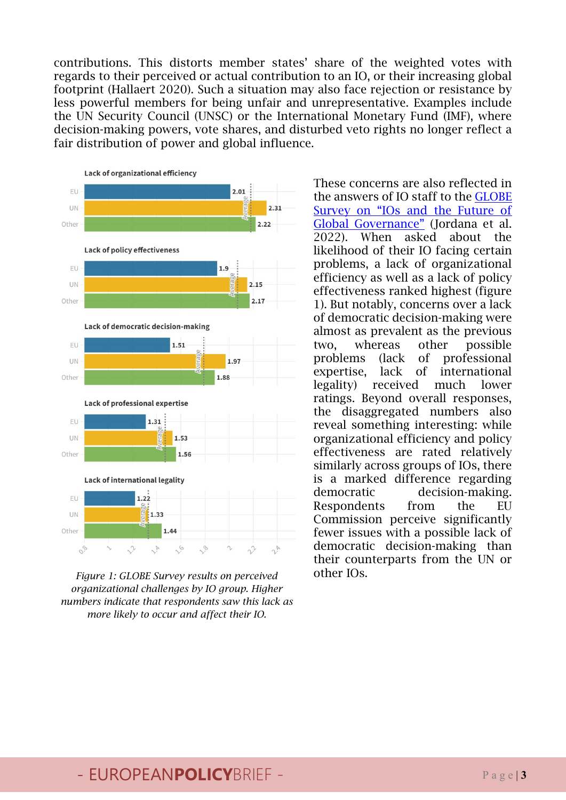contributions. This distorts member states' share of the weighted votes with regards to their perceived or actual contribution to an IO, or their increasing global footprint (Hallaert 2020). Such a situation may also face rejection or resistance by less powerful members for being unfair and unrepresentative. Examples include the UN Security Council (UNSC) or the International Monetary Fund (IMF), where decision-making powers, vote shares, and disturbed veto rights no longer reflect a fair distribution of power and global influence.



*Figure 1: GLOBE Survey results on perceived* **other IOs.** *organizational challenges by IO group. Higher numbers indicate that respondents saw this lack as more likely to occur and affect their IO.* 

These concerns are also reflected in the answers of IO staff to the [GLOBE](https://globe-survey.eu/)  [Survey on "IOs and the Future of](https://globe-survey.eu/)  [Global Governance"](https://globe-survey.eu/) (Jordana et al. 2022). When asked about the likelihood of their IO facing certain problems, a lack of organizational efficiency as well as a lack of policy effectiveness ranked highest (figure 1). But notably, concerns over a lack of democratic decision-making were almost as prevalent as the previous two, whereas other possible problems (lack of professional expertise, lack of international legality) received much lower ratings. Beyond overall responses, the disaggregated numbers also reveal something interesting: while organizational efficiency and policy effectiveness are rated relatively similarly across groups of IOs, there is a marked difference regarding democratic decision-making. Respondents from the EU Commission perceive significantly fewer issues with a possible lack of democratic decision-making than their counterparts from the UN or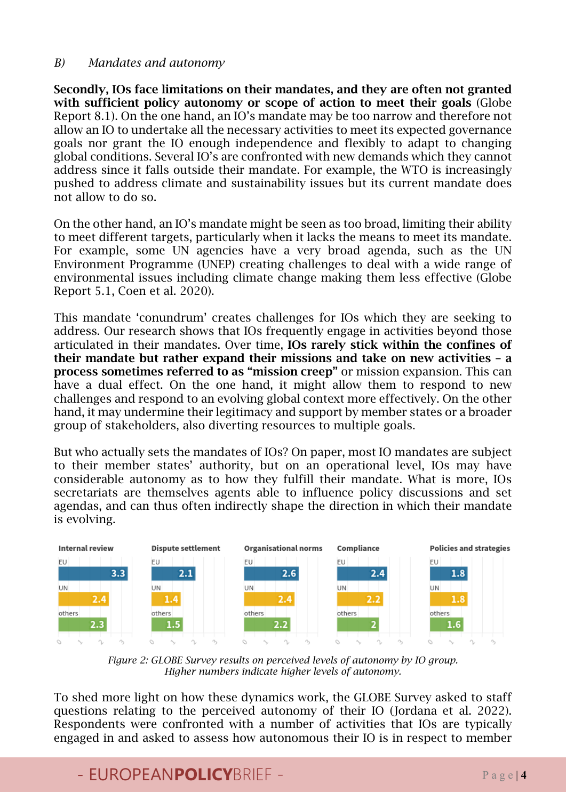#### *B) Mandates and autonomy*

Secondly, IOs face limitations on their mandates, and they are often not granted with sufficient policy autonomy or scope of action to meet their goals (Globe Report 8.1). On the one hand, an IO's mandate may be too narrow and therefore not allow an IO to undertake all the necessary activities to meet its expected governance goals nor grant the IO enough independence and flexibly to adapt to changing global conditions. Several IO's are confronted with new demands which they cannot address since it falls outside their mandate. For example, the WTO is increasingly pushed to address climate and sustainability issues but its current mandate does not allow to do so.

On the other hand, an IO's mandate might be seen as too broad, limiting their ability to meet different targets, particularly when it lacks the means to meet its mandate. For example, some UN agencies have a very broad agenda, such as the UN Environment Programme (UNEP) creating challenges to deal with a wide range of environmental issues including climate change making them less effective (Globe Report 5.1, Coen et al. 2020).

This mandate 'conundrum' creates challenges for IOs which they are seeking to address. Our research shows that IOs frequently engage in activities beyond those articulated in their mandates. Over time, IOs rarely stick within the confines of their mandate but rather expand their missions and take on new activities – a process sometimes referred to as "mission creep" or mission expansion. This can have a dual effect. On the one hand, it might allow them to respond to new challenges and respond to an evolving global context more effectively. On the other hand, it may undermine their legitimacy and support by member states or a broader group of stakeholders, also diverting resources to multiple goals.

But who actually sets the mandates of IOs? On paper, most IO mandates are subject to their member states' authority, but on an operational level, IOs may have considerable autonomy as to how they fulfill their mandate. What is more, IOs secretariats are themselves agents able to influence policy discussions and set agendas, and can thus often indirectly shape the direction in which their mandate is evolving.



*Figure 2: GLOBE Survey results on perceived levels of autonomy by IO group. Higher numbers indicate higher levels of autonomy.*

To shed more light on how these dynamics work, the GLOBE Survey asked to staff questions relating to the perceived autonomy of their IO (Jordana et al. 2022). Respondents were confronted with a number of activities that IOs are typically engaged in and asked to assess how autonomous their IO is in respect to member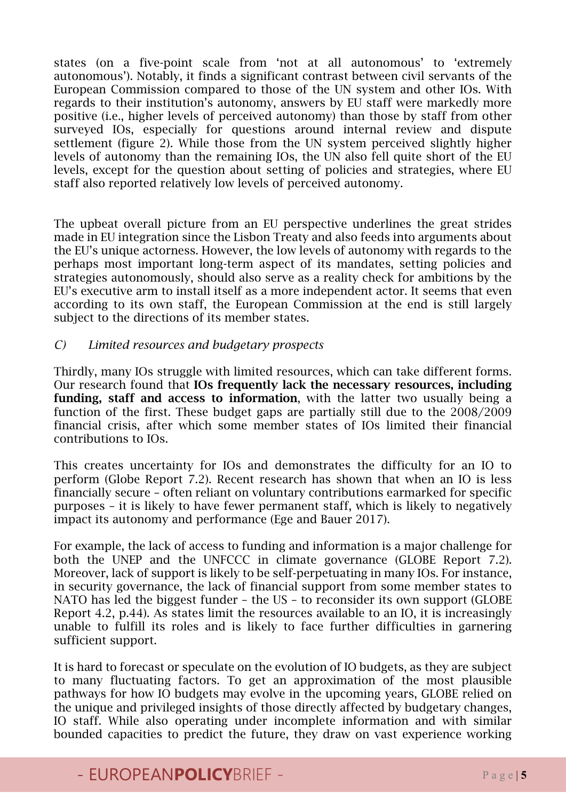states (on a five-point scale from 'not at all autonomous' to 'extremely autonomous'). Notably, it finds a significant contrast between civil servants of the European Commission compared to those of the UN system and other IOs. With regards to their institution's autonomy, answers by EU staff were markedly more positive (i.e., higher levels of perceived autonomy) than those by staff from other surveyed IOs, especially for questions around internal review and dispute settlement (figure 2). While those from the UN system perceived slightly higher levels of autonomy than the remaining IOs, the UN also fell quite short of the EU levels, except for the question about setting of policies and strategies, where EU staff also reported relatively low levels of perceived autonomy.

The upbeat overall picture from an EU perspective underlines the great strides made in EU integration since the Lisbon Treaty and also feeds into arguments about the EU's unique actorness. However, the low levels of autonomy with regards to the perhaps most important long-term aspect of its mandates, setting policies and strategies autonomously, should also serve as a reality check for ambitions by the EU's executive arm to install itself as a more independent actor. It seems that even according to its own staff, the European Commission at the end is still largely subject to the directions of its member states.

#### *C) Limited resources and budgetary prospects*

Thirdly, many IOs struggle with limited resources, which can take different forms. Our research found that IOs frequently lack the necessary resources, including funding, staff and access to information, with the latter two usually being a function of the first. These budget gaps are partially still due to the 2008/2009 financial crisis, after which some member states of IOs limited their financial contributions to IOs.

This creates uncertainty for IOs and demonstrates the difficulty for an IO to perform (Globe Report 7.2). Recent research has shown that when an IO is less financially secure – often reliant on voluntary contributions earmarked for specific purposes – it is likely to have fewer permanent staff, which is likely to negatively impact its autonomy and performance (Ege and Bauer 2017).

For example, the lack of access to funding and information is a major challenge for both the UNEP and the UNFCCC in climate governance (GLOBE Report 7.2). Moreover, lack of support is likely to be self-perpetuating in many IOs. For instance, in security governance, the lack of financial support from some member states to NATO has led the biggest funder – the US – to reconsider its own support (GLOBE Report 4.2, p.44). As states limit the resources available to an IO, it is increasingly unable to fulfill its roles and is likely to face further difficulties in garnering sufficient support.

It is hard to forecast or speculate on the evolution of IO budgets, as they are subject to many fluctuating factors. To get an approximation of the most plausible pathways for how IO budgets may evolve in the upcoming years, GLOBE relied on the unique and privileged insights of those directly affected by budgetary changes, IO staff. While also operating under incomplete information and with similar bounded capacities to predict the future, they draw on vast experience working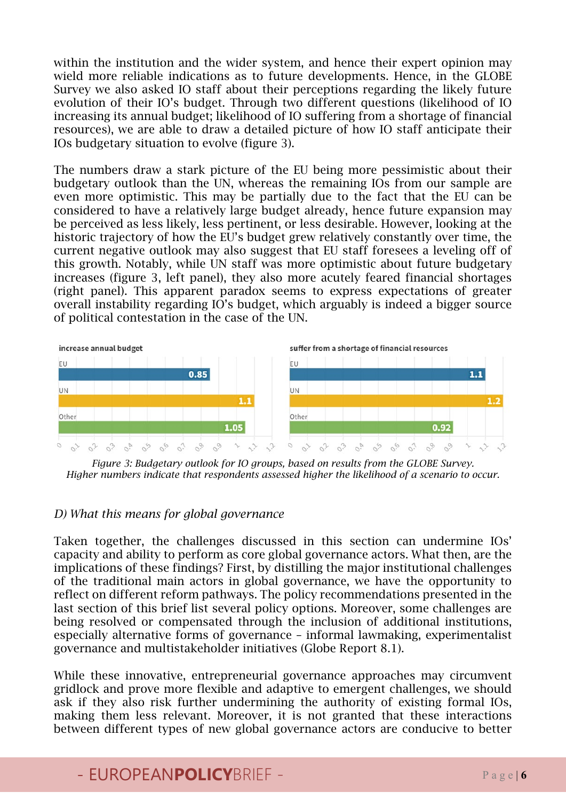within the institution and the wider system, and hence their expert opinion may wield more reliable indications as to future developments. Hence, in the GLOBE Survey we also asked IO staff about their perceptions regarding the likely future evolution of their IO's budget. Through two different questions (likelihood of IO increasing its annual budget; likelihood of IO suffering from a shortage of financial resources), we are able to draw a detailed picture of how IO staff anticipate their IOs budgetary situation to evolve (figure 3).

The numbers draw a stark picture of the EU being more pessimistic about their budgetary outlook than the UN, whereas the remaining IOs from our sample are even more optimistic. This may be partially due to the fact that the EU can be considered to have a relatively large budget already, hence future expansion may be perceived as less likely, less pertinent, or less desirable. However, looking at the historic trajectory of how the EU's budget grew relatively constantly over time, the current negative outlook may also suggest that EU staff foresees a leveling off of this growth. Notably, while UN staff was more optimistic about future budgetary increases (figure 3, left panel), they also more acutely feared financial shortages (right panel). This apparent paradox seems to express expectations of greater overall instability regarding IO's budget, which arguably is indeed a bigger source of political contestation in the case of the UN.



*Figure 3: Budgetary outlook for IO groups, based on results from the GLOBE Survey. Higher numbers indicate that respondents assessed higher the likelihood of a scenario to occur.* 

#### *D) What this means for global governance*

Taken together, the challenges discussed in this section can undermine IOs' capacity and ability to perform as core global governance actors. What then, are the implications of these findings? First, by distilling the major institutional challenges of the traditional main actors in global governance, we have the opportunity to reflect on different reform pathways. The policy recommendations presented in the last section of this brief list several policy options. Moreover, some challenges are being resolved or compensated through the inclusion of additional institutions, especially alternative forms of governance – informal lawmaking, experimentalist governance and multistakeholder initiatives (Globe Report 8.1).

While these innovative, entrepreneurial governance approaches may circumvent gridlock and prove more flexible and adaptive to emergent challenges, we should ask if they also risk further undermining the authority of existing formal IOs, making them less relevant. Moreover, it is not granted that these interactions between different types of new global governance actors are conducive to better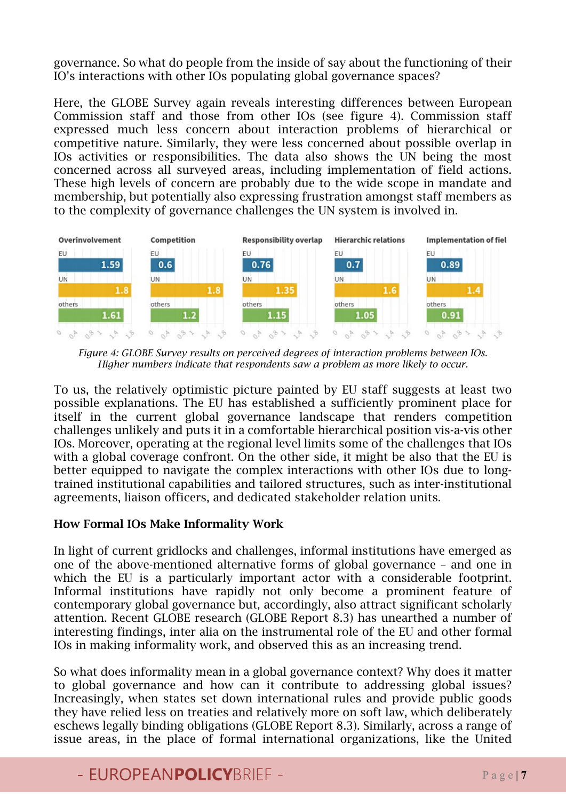governance. So what do people from the inside of say about the functioning of their IO's interactions with other IOs populating global governance spaces?

Here, the GLOBE Survey again reveals interesting differences between European Commission staff and those from other IOs (see figure 4). Commission staff expressed much less concern about interaction problems of hierarchical or competitive nature. Similarly, they were less concerned about possible overlap in IOs activities or responsibilities. The data also shows the UN being the most concerned across all surveyed areas, including implementation of field actions. These high levels of concern are probably due to the wide scope in mandate and membership, but potentially also expressing frustration amongst staff members as to the complexity of governance challenges the UN system is involved in.



*Figure 4: GLOBE Survey results on perceived degrees of interaction problems between IOs. Higher numbers indicate that respondents saw a problem as more likely to occur.* 

To us, the relatively optimistic picture painted by EU staff suggests at least two possible explanations. The EU has established a sufficiently prominent place for itself in the current global governance landscape that renders competition challenges unlikely and puts it in a comfortable hierarchical position vis-a-vis other IOs. Moreover, operating at the regional level limits some of the challenges that IOs with a global coverage confront. On the other side, it might be also that the EU is better equipped to navigate the complex interactions with other IOs due to longtrained institutional capabilities and tailored structures, such as inter-institutional agreements, liaison officers, and dedicated stakeholder relation units.

#### How Formal IOs Make Informality Work

In light of current gridlocks and challenges, informal institutions have emerged as one of the above-mentioned alternative forms of global governance – and one in which the EU is a particularly important actor with a considerable footprint. Informal institutions have rapidly not only become a prominent feature of contemporary global governance but, accordingly, also attract significant scholarly attention. Recent GLOBE research (GLOBE Report 8.3) has unearthed a number of interesting findings, inter alia on the instrumental role of the EU and other formal IOs in making informality work, and observed this as an increasing trend.

So what does informality mean in a global governance context? Why does it matter to global governance and how can it contribute to addressing global issues? Increasingly, when states set down international rules and provide public goods they have relied less on treaties and relatively more on soft law, which deliberately eschews legally binding obligations (GLOBE Report 8.3). Similarly, across a range of issue areas, in the place of formal international organizations, like the United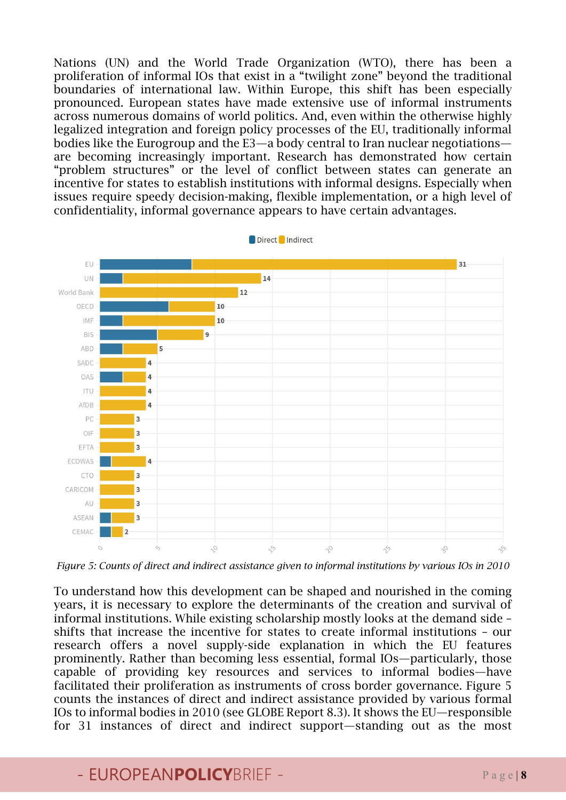Nations (UN) and the World Trade Organization (WTO), there has been a proliferation of informal IOs that exist in a "twilight zone" beyond the traditional boundaries of international law. Within Europe, this shift has been especially pronounced. European states have made extensive use of informal instruments across numerous domains of world politics. And, even within the otherwise highly legalized integration and foreign policy processes of the EU, traditionally informal bodies like the Eurogroup and the E3—a body central to Iran nuclear negotiations are becoming increasingly important. Research has demonstrated how certain "problem structures" or the level of conflict between states can generate an incentive for states to establish institutions with informal designs. Especially when issues require speedy decision-making, flexible implementation, or a high level of confidentiality, informal governance appears to have certain advantages.



*Figure 5: Counts of direct and indirect assistance given to informal institutions by various IOs in 2010*

To understand how this development can be shaped and nourished in the coming years, it is necessary to explore the determinants of the creation and survival of informal institutions. While existing scholarship mostly looks at the demand side – shifts that increase the incentive for states to create informal institutions – our research offers a novel supply-side explanation in which the EU features prominently. Rather than becoming less essential, formal IOs—particularly, those capable of providing key resources and services to informal bodies—have facilitated their proliferation as instruments of cross border governance. Figure 5 counts the instances of direct and indirect assistance provided by various formal IOs to informal bodies in 2010 (see GLOBE Report 8.3). It shows the EU—responsible for 31 instances of direct and indirect support—standing out as the most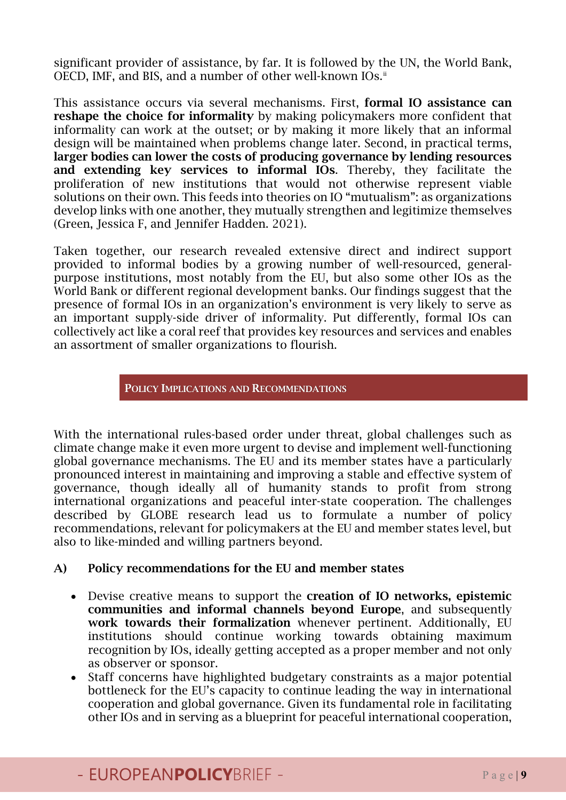significant provider of assistance, by far. It is followed by the UN, the World Bank, OECD, IMF, and BIS, and a number of other well-known IOs.<sup>[ii](#page-13-1)</sup>

This assistance occurs via several mechanisms. First, formal IO assistance can reshape the choice for informality by making policymakers more confident that informality can work at the outset; or by making it more likely that an informal design will be maintained when problems change later. Second, in practical terms, larger bodies can lower the costs of producing governance by lending resources and extending key services to informal IOs. Thereby, they facilitate the proliferation of new institutions that would not otherwise represent viable solutions on their own. This feeds into theories on IO "mutualism": as organizations develop links with one another, they mutually strengthen and legitimize themselves (Green, Jessica F, and Jennifer Hadden. 2021).

Taken together, our research revealed extensive direct and indirect support provided to informal bodies by a growing number of well-resourced, generalpurpose institutions, most notably from the EU, but also some other IOs as the World Bank or different regional development banks. Our findings suggest that the presence of formal IOs in an organization's environment is very likely to serve as an important supply-side driver of informality. Put differently, formal IOs can collectively act like a coral reef that provides key resources and services and enables an assortment of smaller organizations to flourish.

#### POLICY IMPLICATIONS AND RECOMMENDATIONS

With the international rules-based order under threat, global challenges such as climate change make it even more urgent to devise and implement well-functioning global governance mechanisms. The EU and its member states have a particularly pronounced interest in maintaining and improving a stable and effective system of governance, though ideally all of humanity stands to profit from strong international organizations and peaceful inter-state cooperation. The challenges described by GLOBE research lead us to formulate a number of policy recommendations, relevant for policymakers at the EU and member states level, but also to like-minded and willing partners beyond.

#### A) Policy recommendations for the EU and member states

- Devise creative means to support the creation of IO networks, epistemic communities and informal channels beyond Europe, and subsequently work towards their formalization whenever pertinent. Additionally, EU institutions should continue working towards obtaining maximum recognition by IOs, ideally getting accepted as a proper member and not only as observer or sponsor.
- Staff concerns have highlighted budgetary constraints as a major potential bottleneck for the EU's capacity to continue leading the way in international cooperation and global governance. Given its fundamental role in facilitating other IOs and in serving as a blueprint for peaceful international cooperation,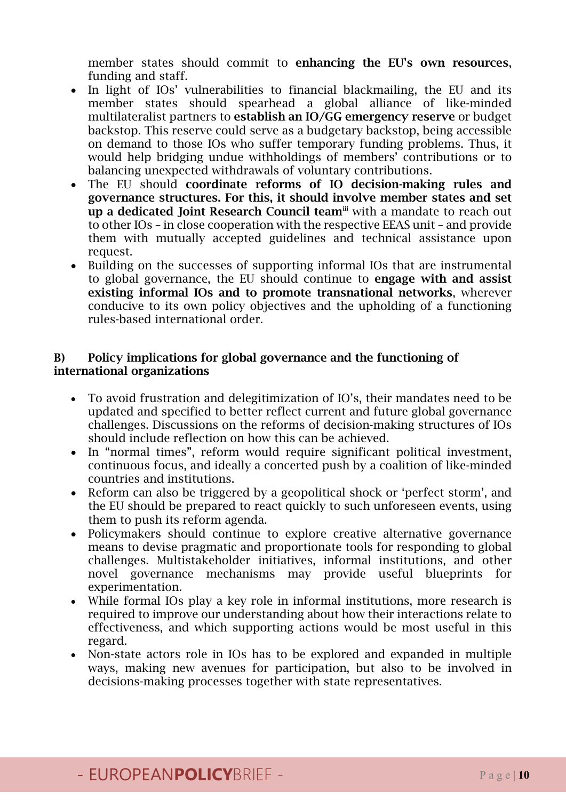member states should commit to enhancing the EU's own resources, funding and staff.

- In light of IOs' vulnerabilities to financial blackmailing, the EU and its member states should spearhead a global alliance of like-minded multilateralist partners to establish an IO/GG emergency reserve or budget backstop. This reserve could serve as a budgetary backstop, being accessible on demand to those IOs who suffer temporary funding problems. Thus, it would help bridging undue withholdings of members' contributions or to balancing unexpected withdrawals of voluntary contributions.
- The EU should coordinate reforms of IO decision-making rules and governance structures. For this, it should involve member states and set up a dedicated Joint Research Council team<sup>ii</sup> with a mandate to reach out to other IOs – in close cooperation with the respective EEAS unit – and provide them with mutually accepted guidelines and technical assistance upon request.
- Building on the successes of supporting informal IOs that are instrumental to global governance, the EU should continue to engage with and assist existing informal IOs and to promote transnational networks, wherever conducive to its own policy objectives and the upholding of a functioning rules-based international order.

#### B) Policy implications for global governance and the functioning of international organizations

- To avoid frustration and delegitimization of IO's, their mandates need to be updated and specified to better reflect current and future global governance challenges. Discussions on the reforms of decision-making structures of IOs should include reflection on how this can be achieved.
- In "normal times", reform would require significant political investment, continuous focus, and ideally a concerted push by a coalition of like-minded countries and institutions.
- Reform can also be triggered by a geopolitical shock or 'perfect storm', and the EU should be prepared to react quickly to such unforeseen events, using them to push its reform agenda.
- Policymakers should continue to explore creative alternative governance means to devise pragmatic and proportionate tools for responding to global challenges. Multistakeholder initiatives, informal institutions, and other novel governance mechanisms may provide useful blueprints for experimentation.
- While formal IOs play a key role in informal institutions, more research is required to improve our understanding about how their interactions relate to effectiveness, and which supporting actions would be most useful in this regard.
- Non-state actors role in IOs has to be explored and expanded in multiple ways, making new avenues for participation, but also to be involved in decisions-making processes together with state representatives.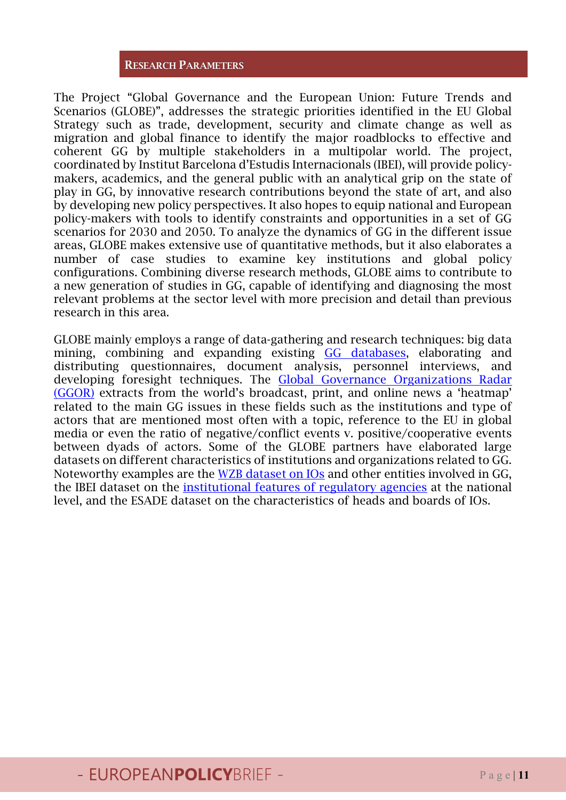#### RESEARCH PARAMETERS

The Project "Global Governance and the European Union: Future Trends and Scenarios (GLOBE)", addresses the strategic priorities identified in the EU Global Strategy such as trade, development, security and climate change as well as migration and global finance to identify the major roadblocks to effective and coherent GG by multiple stakeholders in a multipolar world. The project, coordinated by Institut Barcelona d'Estudis Internacionals (IBEI), will provide policymakers, academics, and the general public with an analytical grip on the state of play in GG, by innovative research contributions beyond the state of art, and also by developing new policy perspectives. It also hopes to equip national and European policy-makers with tools to identify constraints and opportunities in a set of GG scenarios for 2030 and 2050. To analyze the dynamics of GG in the different issue areas, GLOBE makes extensive use of quantitative methods, but it also elaborates a number of case studies to examine key institutions and global policy configurations. Combining diverse research methods, GLOBE aims to contribute to a new generation of studies in GG, capable of identifying and diagnosing the most relevant problems at the sector level with more precision and detail than previous research in this area.

GLOBE mainly employs a range of data-gathering and research techniques: big data mining, combining and expanding existing [GG databases,](https://www.globe-project.eu/en/global-governance-data-sets_7603) elaborating and distributing questionnaires, document analysis, personnel interviews, and developing foresight techniques. The [Global Governance Organizations Radar](https://economicsresearch.shinyapps.io/Ggor2020/)  [\(GGOR\)](https://economicsresearch.shinyapps.io/Ggor2020/) extracts from the world's broadcast, print, and online news a 'heatmap' related to the main GG issues in these fields such as the institutions and type of actors that are mentioned most often with a topic, reference to the EU in global media or even the ratio of negative/conflict events v. positive/cooperative events between dyads of actors. Some of the GLOBE partners have elaborated large datasets on different characteristics of institutions and organizations related to GG. Noteworthy examples are the [WZB dataset on IOs](https://www.wzb.eu/en/research/international-politics-and-law/global-governance/projects/international-authority-database) and other entities involved in GG, the IBEI dataset on the [institutional features of regulatory agencies](https://www.globalreg.info/institutional-features-of-regulatory-agencies.html) at the national level, and the ESADE dataset on the characteristics of heads and boards of IOs.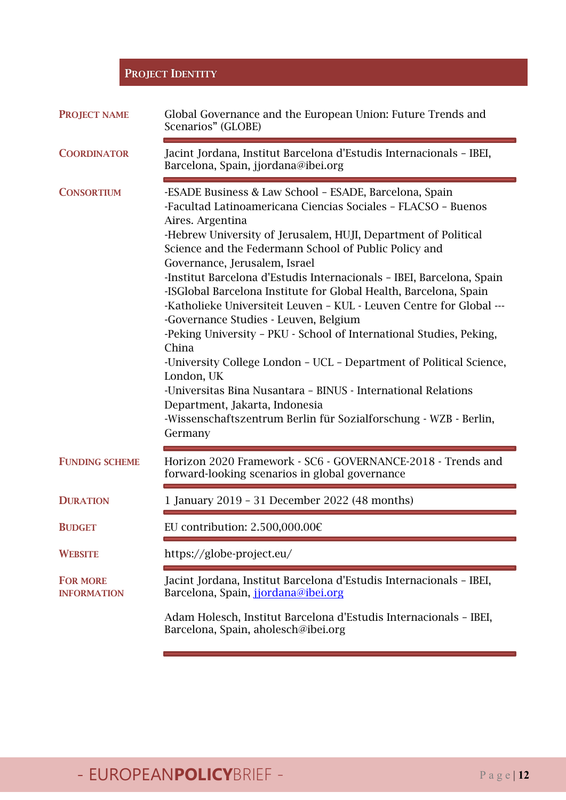### PROJECT IDENTITY

| <b>PROJECT NAME</b>                   | Global Governance and the European Union: Future Trends and<br>Scenarios" (GLOBE)                                                                                                                                                                                                                                                                                                                                                                                                                                                                                                                                                                                                                                                                                                                                                                                                                                             |
|---------------------------------------|-------------------------------------------------------------------------------------------------------------------------------------------------------------------------------------------------------------------------------------------------------------------------------------------------------------------------------------------------------------------------------------------------------------------------------------------------------------------------------------------------------------------------------------------------------------------------------------------------------------------------------------------------------------------------------------------------------------------------------------------------------------------------------------------------------------------------------------------------------------------------------------------------------------------------------|
| <b>COORDINATOR</b>                    | Jacint Jordana, Institut Barcelona d'Estudis Internacionals - IBEI,<br>Barcelona, Spain, jjordana@ibei.org                                                                                                                                                                                                                                                                                                                                                                                                                                                                                                                                                                                                                                                                                                                                                                                                                    |
| <b>CONSORTIUM</b>                     | -ESADE Business & Law School - ESADE, Barcelona, Spain<br>-Facultad Latinoamericana Ciencias Sociales - FLACSO - Buenos<br>Aires. Argentina<br>-Hebrew University of Jerusalem, HUJI, Department of Political<br>Science and the Federmann School of Public Policy and<br>Governance, Jerusalem, Israel<br>-Institut Barcelona d'Estudis Internacionals - IBEI, Barcelona, Spain<br>-ISGlobal Barcelona Institute for Global Health, Barcelona, Spain<br>-Katholieke Universiteit Leuven - KUL - Leuven Centre for Global ---<br>-Governance Studies - Leuven, Belgium<br>-Peking University - PKU - School of International Studies, Peking,<br>China<br>-University College London - UCL - Department of Political Science,<br>London, UK<br>-Universitas Bina Nusantara - BINUS - International Relations<br>Department, Jakarta, Indonesia<br>-Wissenschaftszentrum Berlin für Sozialforschung - WZB - Berlin,<br>Germany |
| <b>FUNDING SCHEME</b>                 | Horizon 2020 Framework - SC6 - GOVERNANCE-2018 - Trends and<br>forward-looking scenarios in global governance                                                                                                                                                                                                                                                                                                                                                                                                                                                                                                                                                                                                                                                                                                                                                                                                                 |
| <b>DURATION</b>                       | 1 January 2019 - 31 December 2022 (48 months)                                                                                                                                                                                                                                                                                                                                                                                                                                                                                                                                                                                                                                                                                                                                                                                                                                                                                 |
| <b>BUDGET</b>                         | EU contribution: $2.500,000.006$                                                                                                                                                                                                                                                                                                                                                                                                                                                                                                                                                                                                                                                                                                                                                                                                                                                                                              |
| <b>WEBSITE</b>                        | https://globe-project.eu/                                                                                                                                                                                                                                                                                                                                                                                                                                                                                                                                                                                                                                                                                                                                                                                                                                                                                                     |
| <b>FOR MORE</b><br><b>INFORMATION</b> | Jacint Jordana, Institut Barcelona d'Estudis Internacionals - IBEI,<br>Barcelona, Spain, jiordana@ibei.org                                                                                                                                                                                                                                                                                                                                                                                                                                                                                                                                                                                                                                                                                                                                                                                                                    |
|                                       | Adam Holesch, Institut Barcelona d'Estudis Internacionals - IBEI,<br>Barcelona, Spain, aholesch@ibei.org                                                                                                                                                                                                                                                                                                                                                                                                                                                                                                                                                                                                                                                                                                                                                                                                                      |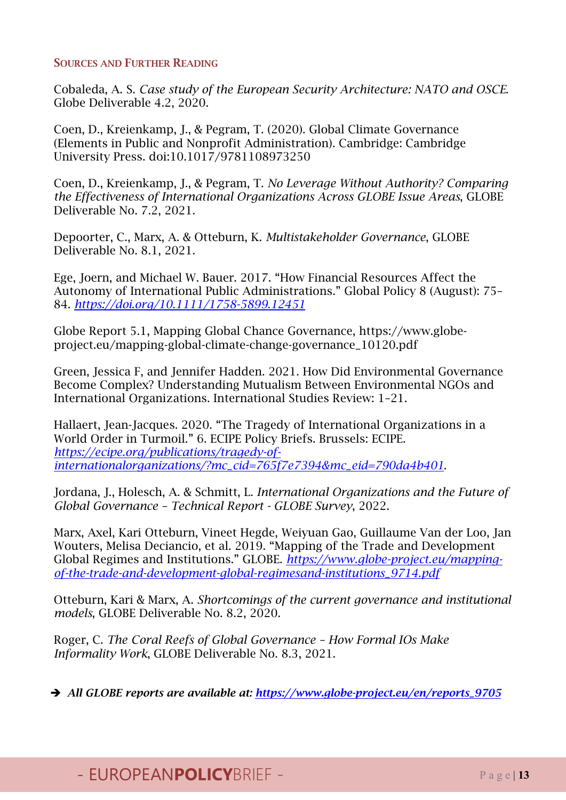#### SOURCES AND FURTHER READING

Cobaleda, A. S. *Case study of the European Security Architecture: NATO and OSCE*. Globe Deliverable 4.2, 2020.

Coen, D., Kreienkamp, J., & Pegram, T. (2020). Global Climate Governance (Elements in Public and Nonprofit Administration). Cambridge: Cambridge University Press. doi:10.1017/9781108973250

Coen, D., Kreienkamp, J., & Pegram, T. *No Leverage Without Authority? Comparing the Effectiveness of International Organizations Across GLOBE Issue Areas*, GLOBE Deliverable No. 7.2, 2021.

Depoorter, C., Marx, A. & Otteburn, K. *Multistakeholder Governance*, GLOBE Deliverable No. 8.1, 2021.

Ege, Joern, and Michael W. Bauer. 2017. "How Financial Resources Affect the Autonomy of International Public Administrations." Global Policy 8 (August): 75– 84. *<https://doi.org/10.1111/1758-5899.12451>*

Globe Report 5.1, Mapping Global Chance Governance, https://www.globeproject.eu/mapping-global-climate-change-governance\_10120.pdf

Green, Jessica F, and Jennifer Hadden. 2021. How Did Environmental Governance Become Complex? Understanding Mutualism Between Environmental NGOs and International Organizations. International Studies Review: 1–21.

Hallaert, Jean-Jacques. 2020. "The Tragedy of International Organizations in a World Order in Turmoil." 6. ECIPE Policy Briefs. Brussels: ECIPE. *[https://ecipe.org/publications/tragedy-of](https://ecipe.org/publications/tragedy-of-internationalorganizations/?mc_cid=765f7e7394&mc_eid=790da4b401)[internationalorganizations/?mc\\_cid=765f7e7394&mc\\_eid=790da4b401](https://ecipe.org/publications/tragedy-of-internationalorganizations/?mc_cid=765f7e7394&mc_eid=790da4b401)*.

Jordana, J., Holesch, A. & Schmitt, L. *International Organizations and the Future of Global Governance – Technical Report - GLOBE Survey*, 2022.

Marx, Axel, Kari Otteburn, Vineet Hegde, Weiyuan Gao, Guillaume Van der Loo, Jan Wouters, Melisa Deciancio, et al. 2019. "Mapping of the Trade and Development Global Regimes and Institutions." GLOBE. *[https://www.globe-project.eu/mapping](https://www.globe-project.eu/mapping-of-the-trade-and-development-global-regimesand-institutions_9714.pdf)[of-the-trade-and-development-global-regimesand-institutions\\_9714.pdf](https://www.globe-project.eu/mapping-of-the-trade-and-development-global-regimesand-institutions_9714.pdf)*

Otteburn, Kari & Marx, A. *Shortcomings of the current governance and institutional models*, GLOBE Deliverable No. 8.2, 2020.

Roger, C. *The Coral Reefs of Global Governance – How Formal IOs Make Informality Work*, GLOBE Deliverable No. 8.3, 2021.

*All GLOBE reports are available at: [https://www.globe-project.eu/en/reports\\_9705](https://www.globe-project.eu/en/reports_9705)*